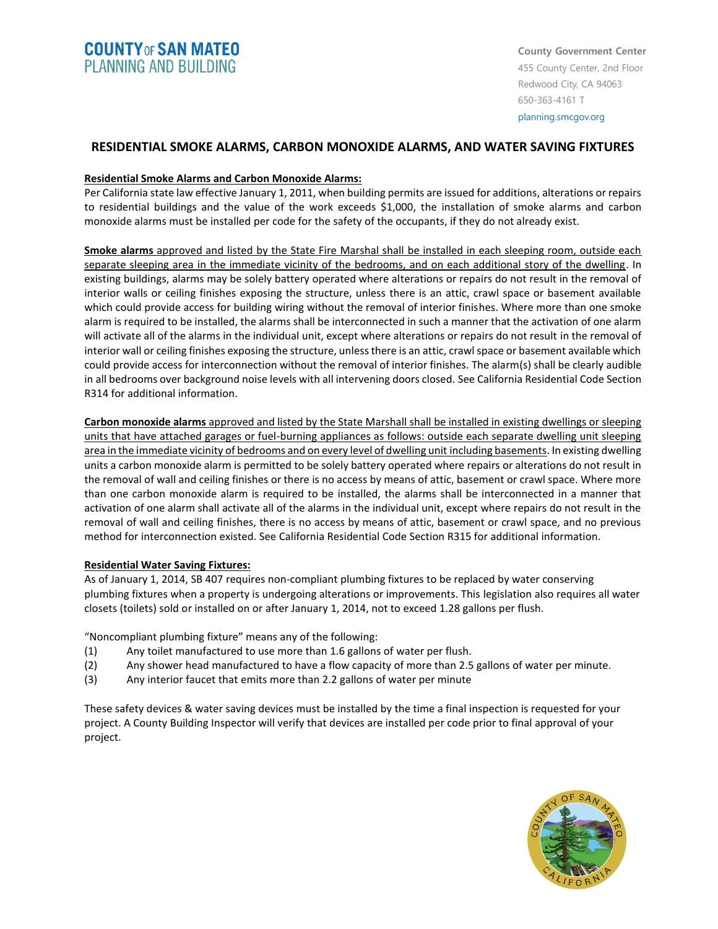# **COUNTY OF SAN MATEO PLANNING AND BUILDING**

## **RESIDENTIAL SMOKE ALARMS, CARBON MONOXIDE ALARMS, AND WATER SAVING FIXTURES**

#### **Residential Smoke Alarms and Carbon Monoxide Alarms:**

Per California state law effective January 1, 2011, when building permits are issued for additions, alterations or repairs to residential buildings and the value of the work exceeds \$1,000, the installation of smoke alarms and carbon monoxide alarms must be installed per code for the safety of the occupants, if they do not already exist.

**Smoke alarms** approved and listed by the State Fire Marshal shall be installed in each sleeping room, outside each separate sleeping area in the immediate vicinity of the bedrooms, and on each additional story of the dwelling. In existing buildings, alarms may be solely battery operated where alterations or repairs do not result in the removal of interior walls or ceiling finishes exposing the structure, unless there is an attic, crawl space or basement available which could provide access for building wiring without the removal of interior finishes. Where more than one smoke alarm is required to be installed, the alarms shall be interconnected in such a manner that the activation of one alarm will activate all of the alarms in the individual unit, except where alterations or repairs do not result in the removal of interior wall or ceiling finishes exposing the structure, unless there is an attic, crawl space or basement available which could provide access for interconnection without the removal of interior finishes. The alarm(s) shall be clearly audible in all bedrooms over background noise levels with all intervening doors closed. See California Residential Code Section R314 for additional information.

**Carbon monoxide alarms** approved and listed by the State Marshall shall be installed in existing dwellings or sleeping units that have attached garages or fuel-burning appliances as follows: outside each separate dwelling unit sleeping area in the immediate vicinity of bedrooms and on every level of dwelling unit including basements. In existing dwelling units a carbon monoxide alarm is permitted to be solely battery operated where repairs or alterations do not result in the removal of wall and ceiling finishes or there is no access by means of attic, basement or crawl space. Where more than one carbon monoxide alarm is required to be installed, the alarms shall be interconnected in a manner that activation of one alarm shall activate all of the alarms in the individual unit, except where repairs do not result in the removal of wall and ceiling finishes, there is no access by means of attic, basement or crawl space, and no previous method for interconnection existed. See California Residential Code Section R315 for additional information.

#### **Residential Water Saving Fixtures:**

As of January 1, 2014, SB 407 requires non-compliant plumbing fixtures to be replaced by water conserving plumbing fixtures when a property is undergoing alterations or improvements. This legislation also requires all water closets (toilets) sold or installed on or after January 1, 2014, not to exceed 1.28 gallons per flush.

"Noncompliant plumbing fixture" means any of the following:

- (1) Any toilet manufactured to use more than 1.6 gallons of water per flush.
- (2) Any shower head manufactured to have a flow capacity of more than 2.5 gallons of water per minute.
- (3) Any interior faucet that emits more than 2.2 gallons of water per minute

These safety devices & water saving devices must be installed by the time a final inspection is requested for your project. A County Building Inspector will verify that devices are installed per code prior to final approval of your project.